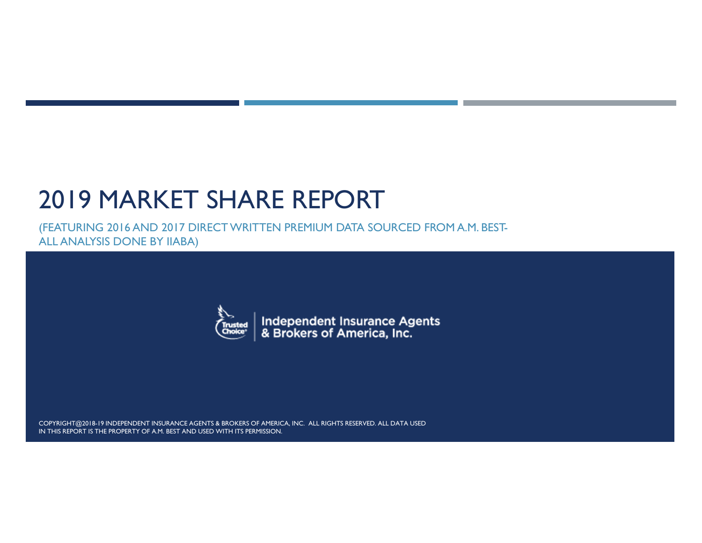# 2019 MARKET SHARE REPORT

(FEATURING 2016 AND 2017 DIRECT WRITTEN PREMIUM DATA SOURCED FROM A.M. BEST-ALL ANALYSIS DONE BY IIABA)



Independent Insurance Agents<br>& Brokers of America, Inc.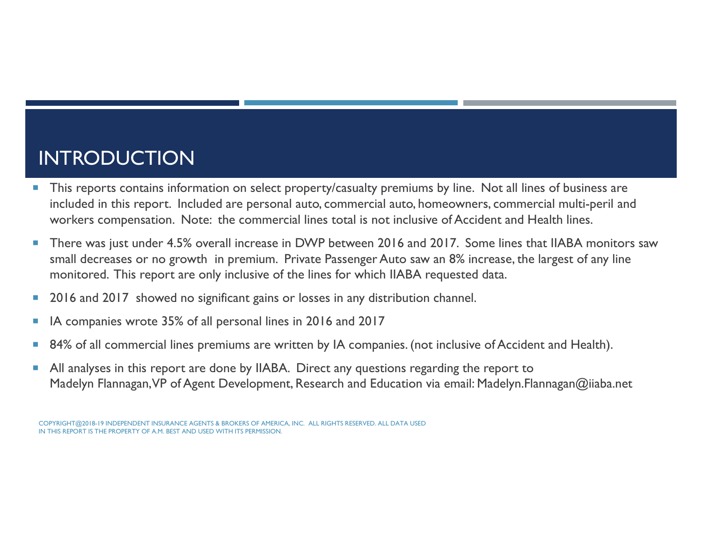#### INTRODUCTION

- This reports contains information on select property/casualty premiums by line. Not all lines of business are included in this report. Included are personal auto, commercial auto, homeowners, commercial multi-peril and workers compensation. Note: the commercial lines total is not inclusive of Accident and Health lines.
- F. There was just under 4.5% overall increase in DWP between 2016 and 2017. Some lines that IIABA monitors saw small decreases or no growth in premium. Private Passenger Auto saw an 8% increase, the largest of any line monitored. This report are only inclusive of the lines for which IIABA requested data.
- F. 2016 and 2017 showed no significant gains or losses in any distribution channel.
- F. IA companies wrote 35% of all personal lines in 2016 and 2017
- F. 84% of all commercial lines premiums are written by IA companies. (not inclusive of Accident and Health).
- F. All analyses in this report are done by IIABA. Direct any questions regarding the report to Madelyn Flannagan, VP of Agent Development, Research and Education via email: Madelyn.Flannagan@iiaba.net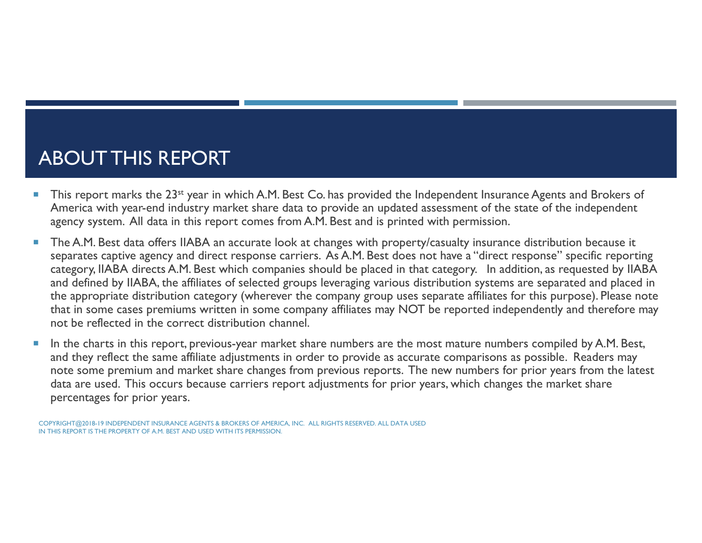#### ABOUT THIS REPORT

- П This report marks the 23st year in which A.M. Best Co. has provided the Independent Insurance Agents and Brokers of America with year-end industry market share data to provide an updated assessment of the state of the independent agency system. All data in this report comes from A.M. Best and is printed with permission.
- × The A.M. Best data offers IIABA an accurate look at changes with property/casualty insurance distribution because it separates captive agency and direct response carriers. As A.M. Best does not have a "direct response" specific reporting category, IIABA directs A.M. Best which companies should be placed in that category. In addition, as requested by IIABA and defined by IIABA, the affiliates of selected groups leveraging various distribution systems are separated and placed in the appropriate distribution category (wherever the company group uses separate affiliates for this purpose). Please note that in some cases premiums written in some company affiliates may NOT be reported independently and therefore may not be reflected in the correct distribution channel.
- ш In the charts in this report, previous-year market share numbers are the most mature numbers compiled by A.M. Best, and they reflect the same affiliate adjustments in order to provide as accurate comparisons as possible. Readers may note some premium and market share changes from previous reports. The new numbers for prior years from the latest data are used. This occurs because carriers report adjustments for prior years, which changes the market share percentages for prior years.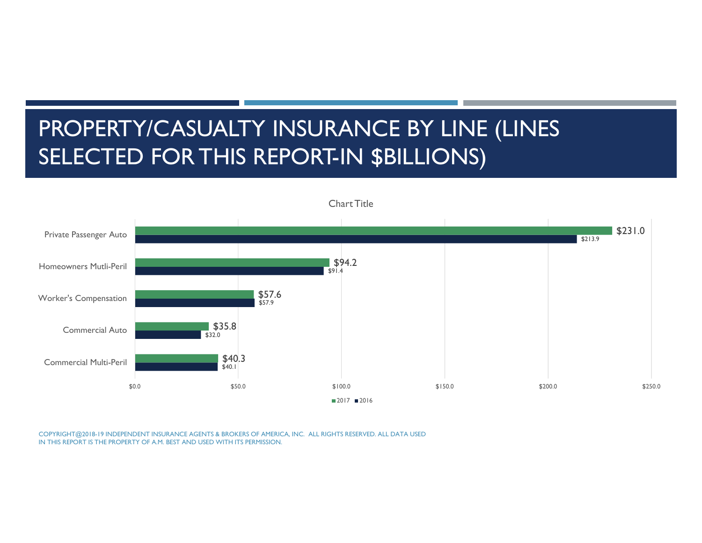# PROPERTY/CASUALTY INSURANCE BY LINE (LINES SELECTED FOR THIS REPORT-IN \$BILLIONS)

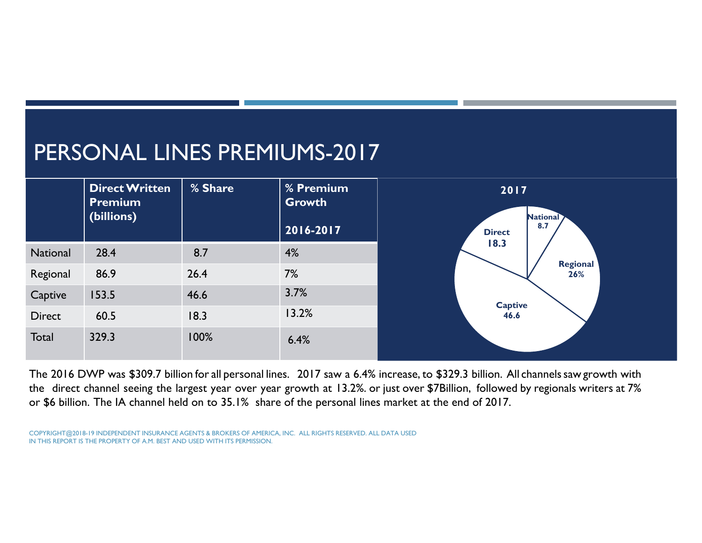#### PERSONAL LINES PREMIUMS-2017



The 2016 DWP was \$309.7 billion for all persona<sup>l</sup> lines. 2017 saw a 6.4% increase, to \$329.3 billion. All channelssaw growth with the direct channel seeing the largest year over year growth at 13.2%. or just over \$7Billion, followed by regionals writers at 7% or \$6 billion. The IA channel held on to 35.1% share of the personal lines market at the end of 2017.

COPYRIGHT@2018-19 INDEPENDENT INSURANCE AGENTS & BROKERS OF AMERICA, INC. ALL RIGHTS RESERVED. ALL DATA USED IN THIS REPORT IS THE PROPERTY OF A.M. BEST AND USED WITH ITS PERMISSION.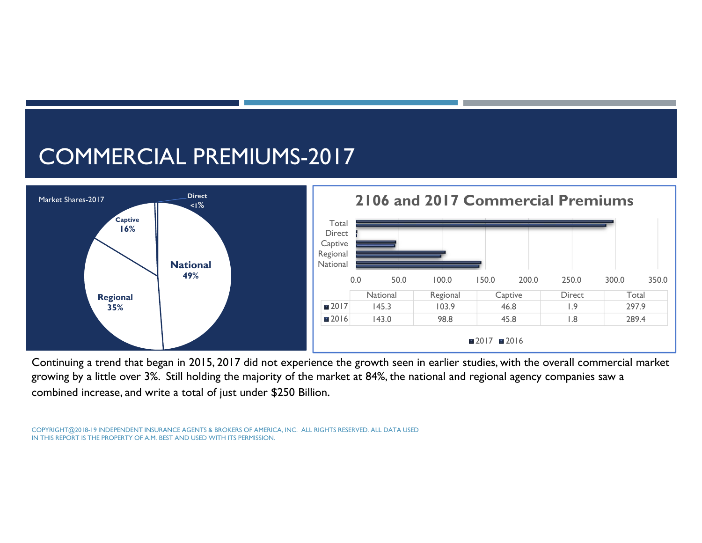# COMMERCIAL PREMIUMS-2017



Continuing a trend that began in 2015, 2017 did not experience the growth seen in earlier studies, with the overall commercial market growing by a little over 3%. Still holding the majority of the market at 84%, the national and regional agency companies saw a combined increase, and write a total of just under \$250 Billion.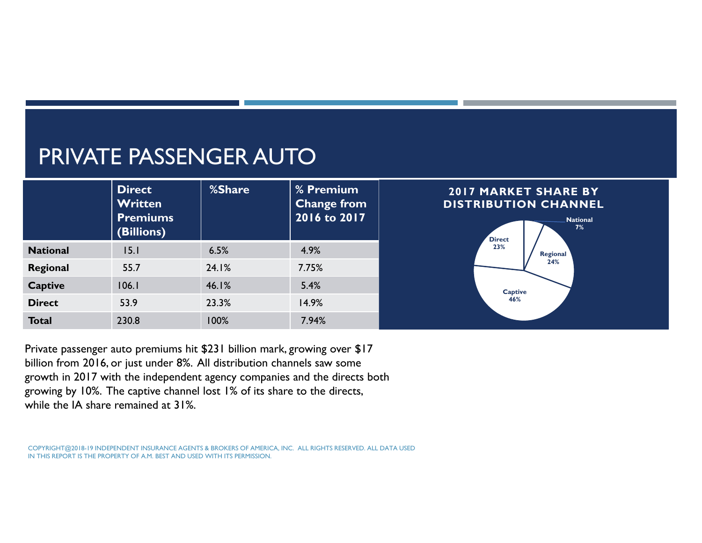### PRIVATE PASSENGER AUTO

|                 | <b>Direct</b><br><b>Written</b><br><b>Premiums</b><br>(Billions) | %Share | % Premium<br><b>Change from</b><br>2016 to 2017 | <b>2017 MARKET SHARE BY</b><br>DISTRIBUTION CHANNEL<br><b>National</b><br>7%<br><b>Direct</b> |
|-----------------|------------------------------------------------------------------|--------|-------------------------------------------------|-----------------------------------------------------------------------------------------------|
| <b>National</b> | 15.1                                                             | 6.5%   | 4.9%                                            | 23%<br>Regional                                                                               |
| Regional        | 55.7                                                             | 24.1%  | 7.75%                                           | 24%                                                                                           |
| <b>Captive</b>  | 106.1                                                            | 46.1%  | 5.4%                                            | <b>Captive</b>                                                                                |
| <b>Direct</b>   | 53.9                                                             | 23.3%  | 14.9%                                           | 46%                                                                                           |
| <b>Total</b>    | 230.8                                                            | 100%   | 7.94%                                           |                                                                                               |

Private passenger auto premiums hit \$231 billion mark, growing over \$17 billion from 2016, or just under 8%. All distribution channels saw some growth in 2017 with the independent agency companies and the directs both growing by 10%. The captive channel lost 1% of its share to the directs, while the IA share remained at 31%.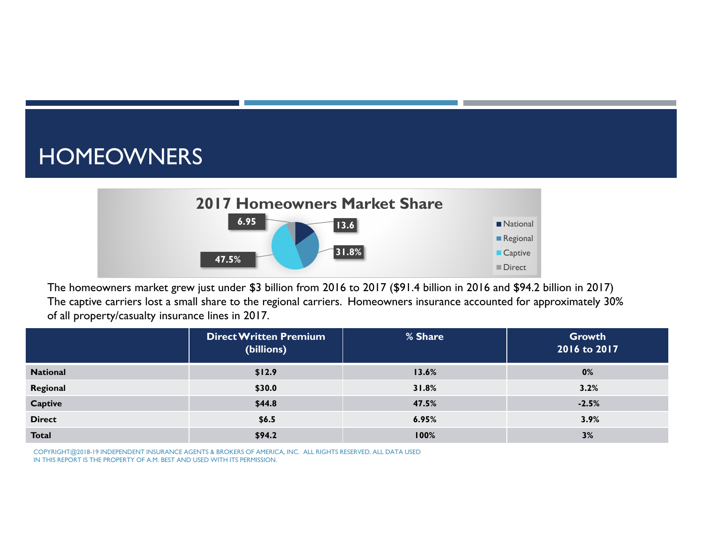#### HOMEOWNERS



The homeowners market grew just under \$3 billion from 2016 to 2017 (\$91.4 billion in 2016 and \$94.2 billion in 2017) The captive carriers lost a small share to the regional carriers. Homeowners insurance accounted for approximately 30% of all property/casualty insurance lines in 2017.

|                 | <b>Direct Written Premium</b><br>(billions) | % Share | Growth<br>2016 to 2017 |
|-----------------|---------------------------------------------|---------|------------------------|
| <b>National</b> | \$12.9                                      | 13.6%   | 0%                     |
| Regional        | \$30.0                                      | 31.8%   | 3.2%                   |
| Captive         | \$44.8                                      | 47.5%   | $-2.5%$                |
| <b>Direct</b>   | \$6.5                                       | 6.95%   | 3.9%                   |
| <b>Total</b>    | \$94.2                                      | 100%    | 3%                     |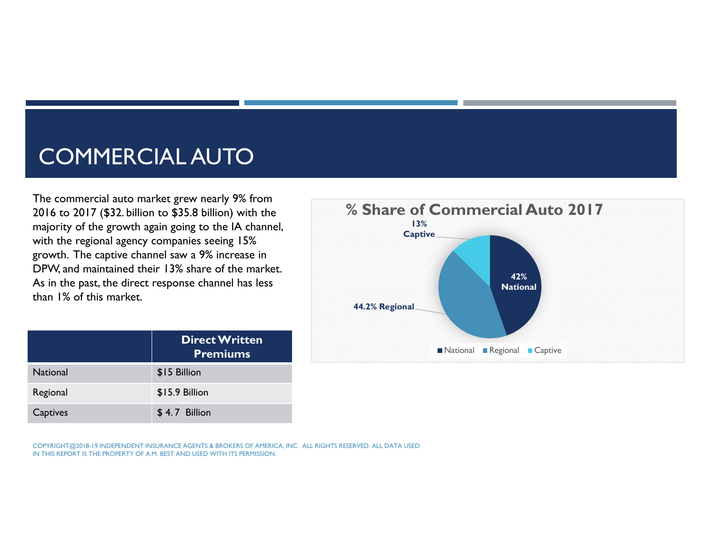### COMMERCIAL AUTO

The commercial auto market grew nearly 9% from 2016 to 2017 (\$32. billion to \$35.8 billion) with the majority of the growth again going to the IA channel, with the regional agency companies seeing 15% growth. The captive channel saw a 9% increase in DPW, and maintained their 13% share of the market. As in the past, the direct response channel has less than 1% of this market.



|                 | <b>Direct Written</b><br><b>Premiums</b> |
|-----------------|------------------------------------------|
| <b>National</b> | \$15 Billion                             |
| Regional        | \$15.9 Billion                           |
| Captives        | \$4.7 Billion                            |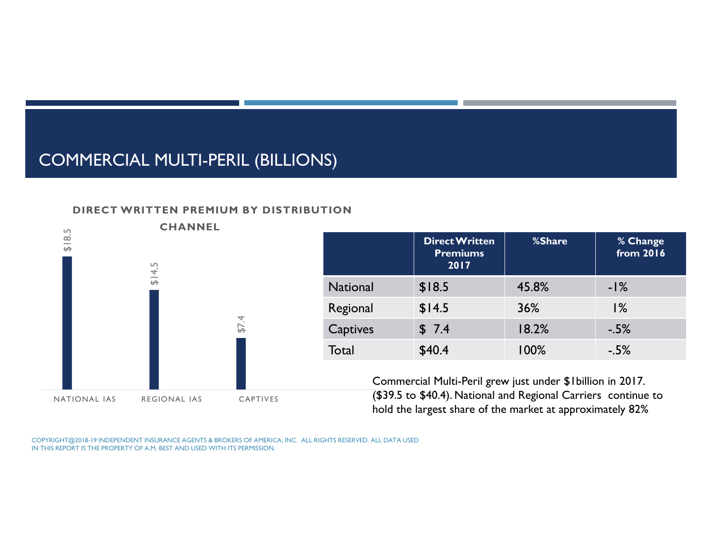#### COMMERCIAL MULTI-PERIL (BILLIONS)

#### **DIRECT WRITTEN PREMIUM BY DISTRIBUTION**



|                 | <b>Direct Written</b><br><b>Premiums</b><br>2017 | %Share  | % Change<br>from 2016 |
|-----------------|--------------------------------------------------|---------|-----------------------|
| <b>National</b> | \$18.5                                           | 45.8%   | $-1\%$                |
| Regional        | \$14.5                                           | 36%     | $1\%$                 |
| Captives        | \$7.4                                            | 18.2%   | $-5%$                 |
| Total           | \$40.4                                           | $100\%$ | $-5%$                 |

Commercial Multi-Peril grew just under \$1billion in 2017. (\$39.5 to \$40.4). National and Regional Carriers continue to hold the largest share of the market at approximately 82%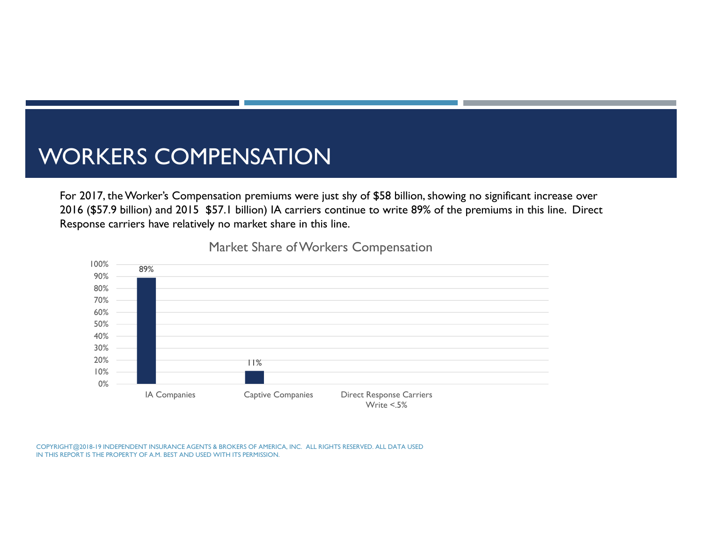#### WORKERS COMPENSATION

For 2017, the Worker's Compensation premiums were just shy of \$58 billion, showing no significant increase over 2016 (\$57.9 billion) and 2015 \$57.1 billion) IA carriers continue to write 89% of the premiums in this line. Direct Response carriers have relatively no market share in this line.



Market Share of Workers Compensation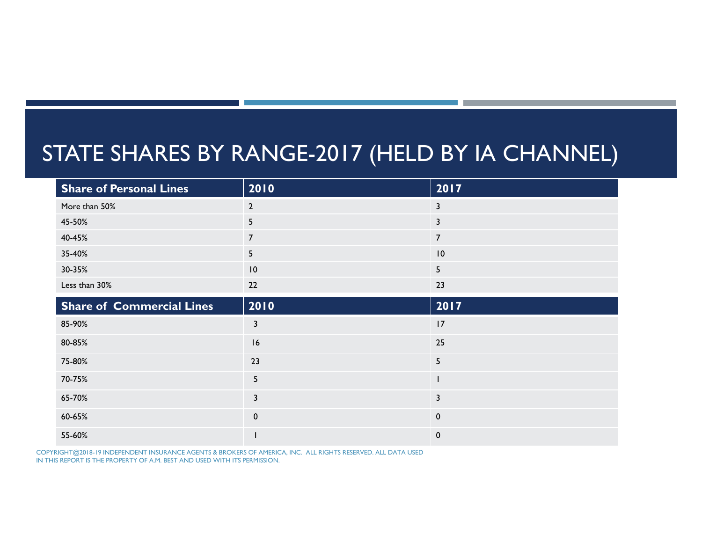#### STATE SHARES BY RANGE-2017 (HELD BY IA CHANNEL)

| <b>Share of Personal Lines</b>   | 2010                    | 2017           |
|----------------------------------|-------------------------|----------------|
| More than 50%                    | $\mathbf{2}$            | 3              |
| 45-50%                           | 5                       | $\mathbf{3}$   |
| 40-45%                           | $\overline{7}$          | $\overline{7}$ |
| 35-40%                           | 5                       | 10             |
| 30-35%                           | 10                      | 5              |
| Less than 30%                    | 22                      | 23             |
| <b>Share of Commercial Lines</b> | 2010                    | 2017           |
| 85-90%                           | $\overline{\mathbf{3}}$ | 17             |
| 80-85%                           | 16                      | 25             |
| 75-80%                           | 23                      | 5              |
| 70-75%                           | 5                       |                |
| 65-70%                           | $\mathbf{3}$            | 3              |
| 60-65%                           | $\mathbf 0$             | $\mathbf 0$    |
| 55-60%                           |                         | $\mathbf{0}$   |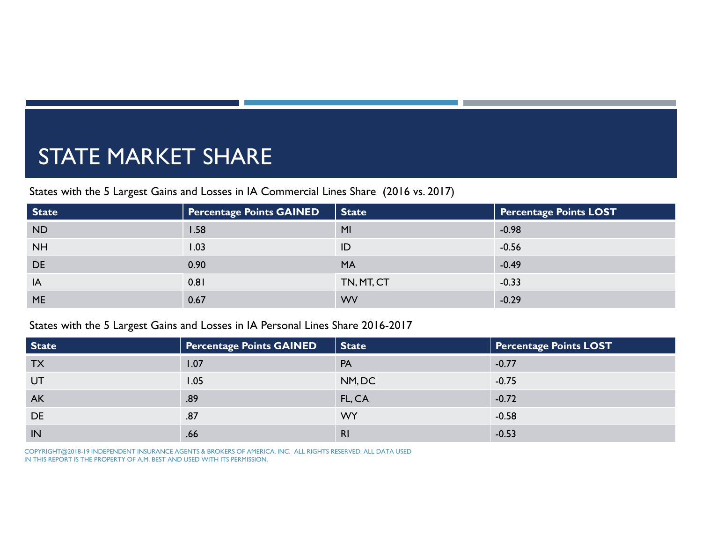## STATE MARKET SHARE

States with the 5 Largest Gains and Losses in IA Commercial Lines Share (2016 vs. 2017)

| <b>State</b> | <b>Percentage Points GAINED</b> | State          | <b>Percentage Points LOST</b> |
|--------------|---------------------------------|----------------|-------------------------------|
| <b>ND</b>    | 1.58                            | M <sub>l</sub> | $-0.98$                       |
| <b>NH</b>    | 1.03                            | ID             | $-0.56$                       |
| <b>DE</b>    | 0.90                            | <b>MA</b>      | $-0.49$                       |
| IA           | 0.81                            | TN, MT, CT     | $-0.33$                       |
| <b>ME</b>    | 0.67                            | <b>WV</b>      | $-0.29$                       |

#### States with the 5 Largest Gains and Losses in IA Personal Lines Share 2016-2017

| State     | <b>Percentage Points GAINED</b> | <b>State</b>   | <b>Percentage Points LOST</b> |
|-----------|---------------------------------|----------------|-------------------------------|
| <b>TX</b> | 1.07                            | PA             | $-0.77$                       |
| UT        | 1.05                            | NM, DC         | $-0.75$                       |
| <b>AK</b> | .89                             | FL, CA         | $-0.72$                       |
| DE        | .87                             | <b>WY</b>      | $-0.58$                       |
| IN        | .66                             | R <sub>l</sub> | $-0.53$                       |